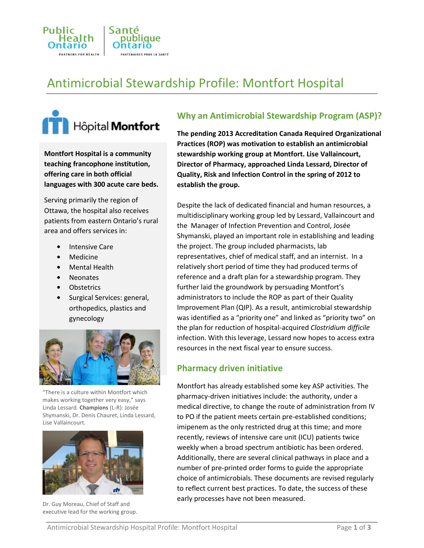

# Antimicrobial Stewardship Profile: Montfort Hospital



**Montfort Hospital is a community teaching francophone institution, offering care in both official languages with 300 acute care beds.**

Serving primarily the region of Ottawa, the hospital also receives patients from eastern Ontario's rural area and offers services in:

- **•** Intensive Care
- **•** Medicine
- **•** Mental Health
- **•** Neonates
- **•** Obstetrics
- **•** Surgical Services: general, orthopedics, plastics and gynecology



"There is a culture within Montfort which makes working together very easy," says Linda Lessard. **Champions** (L-R): Josée Shymanski, Dr. Denis Chauret, Linda Lessard, Lise Vallaincourt.



Dr. Guy Moreau, Chief of Staff and executive lead for the working group.

# **Why an Antimicrobial Stewardship Program (ASP)?**

**The pending 2013 Accreditation Canada Required Organizational Practices (ROP) was motivation to establish an antimicrobial stewardship working group at Montfort. Lise Vallaincourt, Director of Pharmacy, approached Linda Lessard, Director of Quality, Risk and Infection Control in the spring of 2012 to establish the group.**

Despite the lack of dedicated financial and human resources, a multidisciplinary working group led by Lessard, Vallaincourt and the Manager of Infection Prevention and Control, Josée Shymanski, played an important role in establishing and leading the project. The group included pharmacists, lab representatives, chief of medical staff, and an internist. In a relatively short period of time they had produced terms of reference and a draft plan for a stewardship program. They further laid the groundwork by persuading Montfort's administrators to include the ROP as part of their Quality Improvement Plan (QIP). As a result, antimicrobial stewardship was identified as a "priority one" and linked as "priority two" on the plan for reduction of hospital-acquired *Clostridium difficile* infection. With this leverage, Lessard now hopes to access extra resources in the next fiscal year to ensure success.

#### **Pharmacy driven initiative**

Montfort has already established some key ASP activities. The pharmacy-driven initiatives include: the authority, under a medical directive, to change the route of administration from IV to PO if the patient meets certain pre-established conditions; imipenem as the only restricted drug at this time; and more recently, reviews of intensive care unit (ICU) patients twice weekly when a broad spectrum antibiotic has been ordered. Additionally, there are several clinical pathways in place and a number of pre-printed order forms to guide the appropriate choice of antimicrobials. These documents are revised regularly to reflect current best practices. To date, the success of these early processes have not been measured.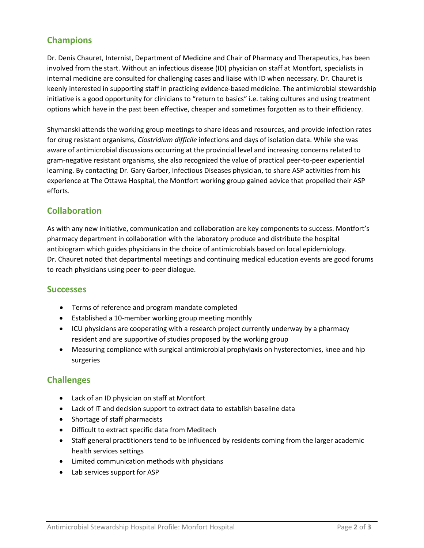## **Champions**

Dr. Denis Chauret, Internist, Department of Medicine and Chair of Pharmacy and Therapeutics, has been involved from the start. Without an infectious disease (ID) physician on staff at Montfort, specialists in internal medicine are consulted for challenging cases and liaise with ID when necessary. Dr. Chauret is keenly interested in supporting staff in practicing evidence-based medicine. The antimicrobial stewardship initiative is a good opportunity for clinicians to "return to basics" i.e. taking cultures and using treatment options which have in the past been effective, cheaper and sometimes forgotten as to their efficiency.

Shymanski attends the working group meetings to share ideas and resources, and provide infection rates for drug resistant organisms, *Clostridium difficile* infections and days of isolation data. While she was aware of antimicrobial discussions occurring at the provincial level and increasing concerns related to gram-negative resistant organisms, she also recognized the value of practical peer-to-peer experiential learning. By contacting Dr. Gary Garber, Infectious Diseases physician, to share ASP activities from his experience at The Ottawa Hospital, the Montfort working group gained advice that propelled their ASP efforts.

## **Collaboration**

As with any new initiative, communication and collaboration are key components to success. Montfort's pharmacy department in collaboration with the laboratory produce and distribute the hospital antibiogram which guides physicians in the choice of antimicrobials based on local epidemiology. Dr. Chauret noted that departmental meetings and continuing medical education events are good forums to reach physicians using peer-to-peer dialogue.

#### **Successes**

- Terms of reference and program mandate completed
- Established a 10-member working group meeting monthly
- ICU physicians are cooperating with a research project currently underway by a pharmacy resident and are supportive of studies proposed by the working group
- Measuring compliance with surgical antimicrobial prophylaxis on hysterectomies, knee and hip surgeries

## **Challenges**

- Lack of an ID physician on staff at Montfort
- Lack of IT and decision support to extract data to establish baseline data
- Shortage of staff pharmacists
- Difficult to extract specific data from Meditech
- Staff general practitioners tend to be influenced by residents coming from the larger academic health services settings
- Limited communication methods with physicians
- Lab services support for ASP